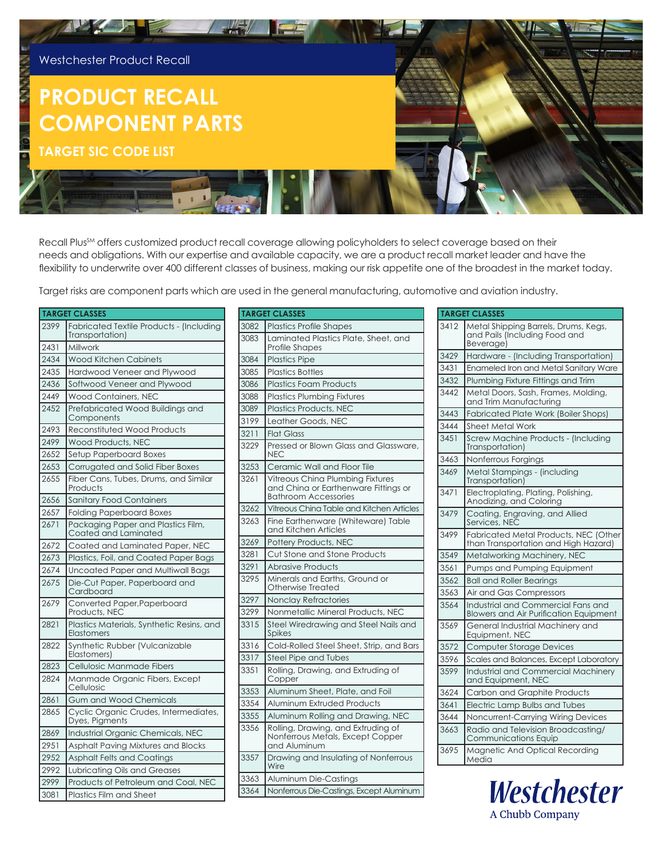

Recall Plus<sup>SM</sup> offers customized product recall coverage allowing policyholders to select coverage based on their needs and obligations. With our expertise and available capacity, we are a product recall market leader and have the flexibility to underwrite over 400 different classes of business, making our risk appetite one of the broadest in the market today.

Target risks are component parts which are used in the general manufacturing, automotive and aviation industry.

|      | <b>TARGET CLASSES</b>                                       |
|------|-------------------------------------------------------------|
| 2399 | Fabricated Textile Products - (Including<br>Transportation) |
| 2431 | Millwork                                                    |
| 2434 | Wood Kitchen Cabinets                                       |
| 2435 | Hardwood Veneer and Plywood                                 |
| 2436 | Softwood Veneer and Plywood                                 |
| 2449 | Wood Containers, NEC                                        |
| 2452 | Prefabricated Wood Buildings and<br>Components              |
| 2493 | Reconstituted Wood Products                                 |
| 2499 | Wood Products, NEC                                          |
| 2652 | Setup Paperboard Boxes                                      |
| 2653 | Corrugated and Solid Fiber Boxes                            |
| 2655 | Fiber Cans, Tubes, Drums, and Similar<br>Products           |
| 2656 | <b>Sanitary Food Containers</b>                             |
| 2657 | <b>Folding Paperboard Boxes</b>                             |
| 2671 | Packaging Paper and Plastics Film,<br>Coated and Laminated  |
| 2672 | Coated and Laminated Paper, NEC                             |
| 2673 | Plastics, Foil, and Coated Paper Bags                       |
| 2674 | Uncoated Paper and Multiwall Bags                           |
| 2675 | Die-Cut Paper, Paperboard and<br>Cardboard                  |
| 2679 | Converted Paper, Paperboard<br>Products, NEC                |
| 2821 | Plastics Materials, Synthetic Resins, and<br>Elastomers     |
| 2822 | Synthetic Rubber (Vulcanizable<br>Elastomers)               |
| 2823 | Cellulosic Manmade Fibers                                   |
| 2824 | Manmade Organic Fibers, Except<br>Cellulosic                |
| 2861 | Gum and Wood Chemicals                                      |
| 2865 | Cyclic Organic Crudes, Intermediates,<br>Dyes, Pigments     |
| 2869 | Industrial Organic Chemicals, NEC                           |
| 2951 | Asphalt Paving Mixtures and Blocks                          |
| 2952 | Asphalt Felts and Coatings                                  |
| 2992 | Lubricating Oils and Greases                                |
| 2999 | Products of Petroleum and Coal, NEC                         |
| 3081 | <b>Plastics Film and Sheet</b>                              |

|      | <b>TARGET CLASSES</b>                                                                                   |
|------|---------------------------------------------------------------------------------------------------------|
| 3082 | <b>Plastics Profile Shapes</b>                                                                          |
| 3083 | Laminated Plastics Plate, Sheet, and<br><b>Profile Shapes</b>                                           |
| 3084 | <b>Plastics Pipe</b>                                                                                    |
| 3085 | <b>Plastics Bottles</b>                                                                                 |
| 3086 | <b>Plastics Foam Products</b>                                                                           |
| 3088 | <b>Plastics Plumbing Fixtures</b>                                                                       |
| 3089 | Plastics Products, NEC                                                                                  |
| 3199 | Leather Goods, NEC                                                                                      |
| 3211 | <b>Flat Glass</b>                                                                                       |
| 3229 | Pressed or Blown Glass and Glassware,<br><b>NEC</b>                                                     |
| 3253 | Ceramic Wall and Floor Tile                                                                             |
| 3261 | Vitreous China Plumbing Fixtures<br>and China or Earthenware Fittings or<br><b>Bathroom Accessories</b> |
| 3262 | Vitreous China Table and Kitchen Articles                                                               |
| 3263 | Fine Earthenware (Whiteware) Table<br>and Kitchen Articles                                              |
| 3269 | Pottery Products, NEC                                                                                   |
| 3281 | Cut Stone and Stone Products                                                                            |
| 3291 | <b>Abrasive Products</b>                                                                                |
| 3295 | Minerals and Earths, Ground or<br>Otherwise Treated                                                     |
| 3297 | <b>Nonclay Refractories</b>                                                                             |
| 3299 | Nonmetallic Mineral Products, NEC                                                                       |
| 3315 | Steel Wiredrawing and Steel Nails and<br>Spikes                                                         |
| 3316 | Cold-Rolled Steel Sheet, Strip, and Bars                                                                |
| 3317 | <b>Steel Pipe and Tubes</b>                                                                             |
| 3351 | Rolling, Drawing, and Extruding of<br>Copper                                                            |
| 3353 | Aluminum Sheet, Plate, and Foil                                                                         |
| 3354 | Aluminum Extruded Products                                                                              |
| 3355 | Aluminum Rolling and Drawing, NEC                                                                       |
| 3356 | Rolling, Drawing, and Extruding of<br>Nonferrous Metals, Except Copper<br>and Aluminum                  |
| 3357 | Drawing and Insulating of Nonferrous<br>Wire                                                            |
| 3363 | Aluminum Die-Castings                                                                                   |
| 3364 | Nonferrous Die-Castings, Except Aluminum                                                                |

| <b>TARGET CLASSES</b> |                                                                                     |
|-----------------------|-------------------------------------------------------------------------------------|
| 3412                  | Metal Shipping Barrels, Drums, Kegs,<br>and Pails (Including Food and<br>Beverage)  |
| 3429                  | Hardware - (Including Transportation)                                               |
| 3431                  | Enameled Iron and Metal Sanitary Ware                                               |
| 3432                  | Plumbing Fixture Fittings and Trim                                                  |
| 3442                  | Metal Doors, Sash, Frames, Molding,<br>and Trim Manufacturing                       |
| 3443                  | Fabricated Plate Work (Boiler Shops)                                                |
| 3444                  | Sheet Metal Work                                                                    |
| 3451                  | Screw Machine Products - (Including<br>Transportation)                              |
| 3463                  | Nonferrous Forgings                                                                 |
| 3469                  | Metal Stampings - (including<br>Transportation)                                     |
| 3471                  | Electroplating, Plating, Polishing,<br>Anodizing, and Coloring                      |
| 3479                  | Coating, Engraving, and Allied<br>Services, NEC                                     |
| 3499                  | Fabricated Metal Products, NEC (Other<br>than Transportation and High Hazard)       |
| 3549                  | Metalworking Machinery, NEC                                                         |
| 3561                  | Pumps and Pumping Equipment                                                         |
| 3562                  | <b>Ball and Roller Bearings</b>                                                     |
| 3563                  | Air and Gas Compressors                                                             |
| 3564                  | Industrial and Commercial Fans and<br><b>Blowers and Air Purification Equipment</b> |
| 3569                  | General Industrial Machinery and<br>Equipment, NEC                                  |
| 3572                  | <b>Computer Storage Devices</b>                                                     |
| 3596                  | Scales and Balances, Except Laboratory                                              |
| 3599                  | Industrial and Commercial Machinery<br>and Equipment, NEC                           |
| 3624                  | Carbon and Graphite Products                                                        |
| 3641                  | Electric Lamp Bulbs and Tubes                                                       |
| 3644                  | Noncurrent-Carrying Wiring Devices                                                  |
| 3663                  | Radio and Television Broadcasting/<br>Communications Equip                          |
| 3695                  | Magnetic And Optical Recording<br>Media                                             |